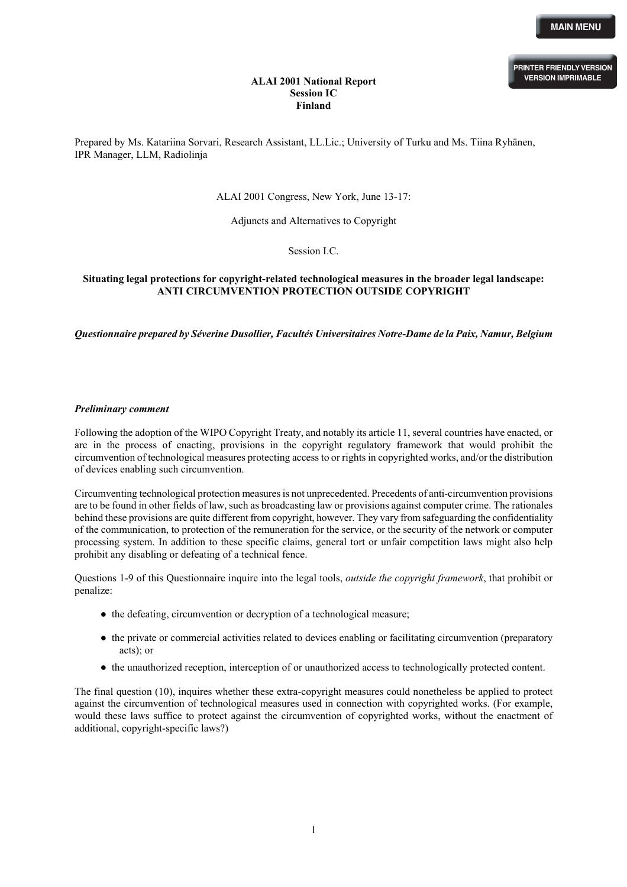### **ALAI 2001 National Report Session IC Finland**

Prepared by Ms. Katariina Sorvari, Research Assistant, LL.Lic.; University of Turku and Ms. Tiina Ryhänen, IPR Manager, LLM, Radiolinja

# ALAI 2001 Congress, New York, June 13-17:

Adjuncts and Alternatives to Copyright

Session I.C.

# **Situating legal protections for copyright-related technological measures in the broader legal landscape: ANTI CIRCUMVENTION PROTECTION OUTSIDE COPYRIGHT**

*Questionnaire prepared by Séverine Dusollier, Facultés Universitaires Notre-Dame de la Paix, Namur, Belgium* 

# *Preliminary comment*

Following the adoption of the WIPO Copyright Treaty, and notably its article 11, several countries have enacted, or are in the process of enacting, provisions in the copyright regulatory framework that would prohibit the circumvention of technological measures protecting access to or rights in copyrighted works, and/or the distribution of devices enabling such circumvention.

Circumventing technological protection measures is not unprecedented. Precedents of anti-circumvention provisions are to be found in other fields of law, such as broadcasting law or provisions against computer crime. The rationales behind these provisions are quite different from copyright, however. They vary from safeguarding the confidentiality of the communication, to protection of the remuneration for the service, or the security of the network or computer processing system. In addition to these specific claims, general tort or unfair competition laws might also help prohibit any disabling or defeating of a technical fence.

Questions 1-9 of this Questionnaire inquire into the legal tools, *outside the copyright framework*, that prohibit or penalize:

- the defeating, circumvention or decryption of a technological measure;
- the private or commercial activities related to devices enabling or facilitating circumvention (preparatory acts); or
- the unauthorized reception, interception of or unauthorized access to technologically protected content.

The final question (10), inquires whether these extra-copyright measures could nonetheless be applied to protect against the circumvention of technological measures used in connection with copyrighted works. (For example, would these laws suffice to protect against the circumvention of copyrighted works, without the enactment of additional, copyright-specific laws?)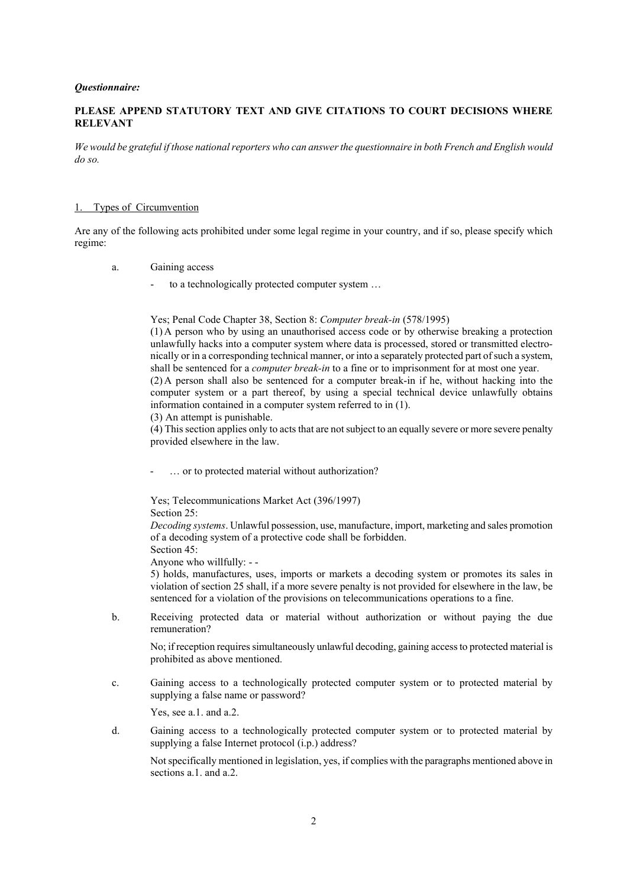#### *Questionnaire:*

# **PLEASE APPEND STATUTORY TEXT AND GIVE CITATIONS TO COURT DECISIONS WHERE RELEVANT**

*We would be grateful if those national reporters who can answer the questionnaire in both French and English would do so.* 

#### 1. Types of Circumvention

Are any of the following acts prohibited under some legal regime in your country, and if so, please specify which regime:

- a. Gaining access
	- to a technologically protected computer system ...

Yes; Penal Code Chapter 38, Section 8: *Computer break-in* (578/1995)

(1) A person who by using an unauthorised access code or by otherwise breaking a protection unlawfully hacks into a computer system where data is processed, stored or transmitted electronically or in a corresponding technical manner, or into a separately protected part of such a system, shall be sentenced for a *computer break-in* to a fine or to imprisonment for at most one year. (2) A person shall also be sentenced for a computer break-in if he, without hacking into the computer system or a part thereof, by using a special technical device unlawfully obtains information contained in a computer system referred to in (1).

(3) An attempt is punishable.

(4) This section applies only to acts that are not subject to an equally severe or more severe penalty provided elsewhere in the law.

... or to protected material without authorization?

Yes; Telecommunications Market Act (396/1997) Section 25:

*Decoding systems*. Unlawful possession, use, manufacture, import, marketing and sales promotion of a decoding system of a protective code shall be forbidden. Section 45:

Anyone who willfully: - -

5) holds, manufactures, uses, imports or markets a decoding system or promotes its sales in violation of section 25 shall, if a more severe penalty is not provided for elsewhere in the law, be sentenced for a violation of the provisions on telecommunications operations to a fine.

b. Receiving protected data or material without authorization or without paying the due remuneration?

No; if reception requires simultaneously unlawful decoding, gaining access to protected material is prohibited as above mentioned.

c. Gaining access to a technologically protected computer system or to protected material by supplying a false name or password?

Yes, see a.1. and a.2.

d. Gaining access to a technologically protected computer system or to protected material by supplying a false Internet protocol (i.p.) address?

Not specifically mentioned in legislation, yes, if complies with the paragraphs mentioned above in sections a 1 and a 2.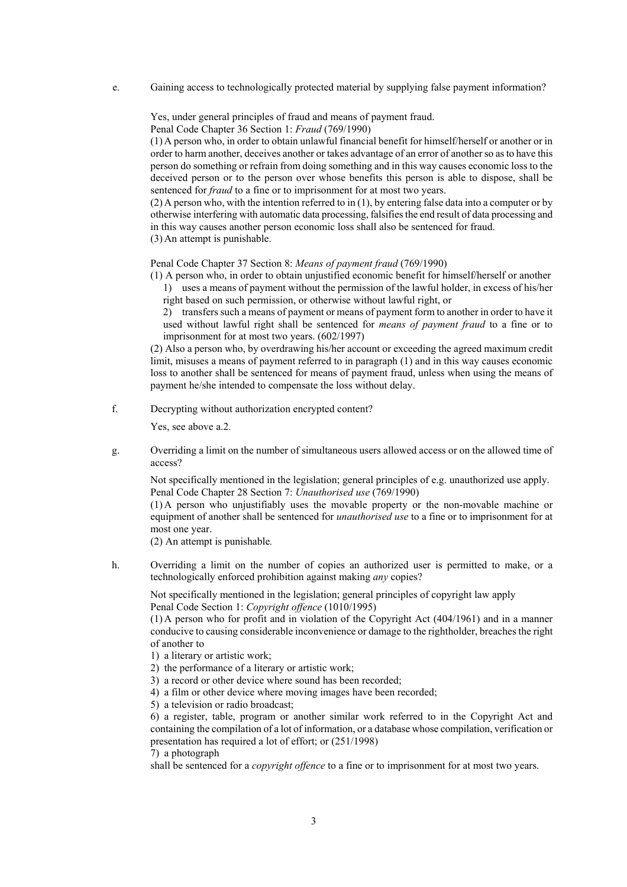e. Gaining access to technologically protected material by supplying false payment information?

Yes, under general principles of fraud and means of payment fraud.

Penal Code Chapter 36 Section 1: *Fraud* (769/1990)

(1) A person who, in order to obtain unlawful financial benefit for himself/herself or another or in order to harm another, deceives another or takes advantage of an error of anotherso asto have this person do something or refrain from doing something and in this way causes economic loss to the deceived person or to the person over whose benefits this person is able to dispose, shall be sentenced for *fraud* to a fine or to imprisonment for at most two years.

(2) A person who, with the intention referred to in (1), by entering false data into a computer or by otherwise interfering with automatic data processing, falsifies the end result of data processing and in this way causes another person economic loss shall also be sentenced for fraud. (3) An attempt is punishable.

Penal Code Chapter 37 Section 8: *Means of payment fraud* (769/1990)

(1) A person who, in order to obtain unjustified economic benefit for himself/herself or another 1) uses a means of payment without the permission of the lawful holder, in excess of his/her right based on such permission, or otherwise without lawful right, or

2) transfers such a means of payment or means of payment form to another in order to have it used without lawful right shall be sentenced for *means of payment fraud* to a fine or to imprisonment for at most two years. (602/1997)

(2) Also a person who, by overdrawing his/her account or exceeding the agreed maximum credit limit, misuses a means of payment referred to in paragraph (1) and in this way causes economic loss to another shall be sentenced for means of payment fraud, unless when using the means of payment he/she intended to compensate the loss without delay.

f. Decrypting without authorization encrypted content?

Yes, see above a.2*.*

g. Overriding a limit on the number of simultaneous users allowed access or on the allowed time of access?

Not specifically mentioned in the legislation; general principles of e.g. unauthorized use apply. Penal Code Chapter 28 Section 7: *Unauthorised use* (769/1990)

(1) A person who unjustifiably uses the movable property or the non-movable machine or equipment of another shall be sentenced for *unauthorised use* to a fine or to imprisonment for at most one year.

(2) An attempt is punishable*.*

h. Overriding a limit on the number of copies an authorized user is permitted to make, or a technologically enforced prohibition against making *any* copies?

Not specifically mentioned in the legislation; general principles of copyright law apply Penal Code Section 1: *Copyright offence* (1010/1995)

(1) A person who for profit and in violation of the Copyright Act (404/1961) and in a manner conducive to causing considerable inconvenience or damage to the rightholder, breaches the right of another to

- 1) a literary or artistic work;
- 2) the performance of a literary or artistic work;
- 3) a record or other device where sound has been recorded;
- 4) a film or other device where moving images have been recorded;
- 5) a television or radio broadcast;

6) a register, table, program or another similar work referred to in the Copyright Act and containing the compilation of a lot of information, or a database whose compilation, verification or presentation has required a lot of effort; or (251/1998)

7) a photograph

shall be sentenced for a *copyright offence* to a fine or to imprisonment for at most two years.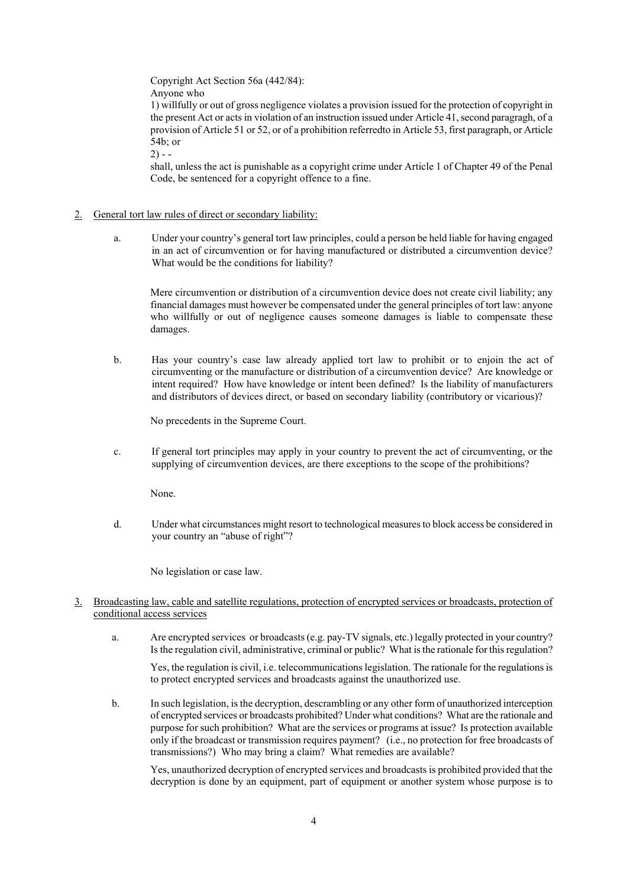Copyright Act Section 56a (442/84): Anyone who

1) willfully or out of gross negligence violates a provision issued for the protection of copyright in the present Act or acts in violation of an instruction issued under Article 41, second paragragh, of a provision of Article 51 or 52, or of a prohibition referredto in Article 53, first paragraph, or Article 54b; or

 $2) - -$ 

shall, unless the act is punishable as a copyright crime under Article 1 of Chapter 49 of the Penal Code, be sentenced for a copyright offence to a fine.

# 2. General tort law rules of direct or secondary liability:

a. Under your country's general tort law principles, could a person be held liable for having engaged in an act of circumvention or for having manufactured or distributed a circumvention device? What would be the conditions for liability?

Mere circumvention or distribution of a circumvention device does not create civil liability; any financial damages must however be compensated under the general principles of tort law: anyone who willfully or out of negligence causes someone damages is liable to compensate these damages.

b. Has your country's case law already applied tort law to prohibit or to enjoin the act of circumventing or the manufacture or distribution of a circumvention device? Are knowledge or intent required? How have knowledge or intent been defined? Is the liability of manufacturers and distributors of devices direct, or based on secondary liability (contributory or vicarious)?

No precedents in the Supreme Court.

c. If general tort principles may apply in your country to prevent the act of circumventing, or the supplying of circumvention devices, are there exceptions to the scope of the prohibitions?

None.

d. Under what circumstances might resort to technological measures to block access be considered in your country an "abuse of right"?

No legislation or case law.

- 3. Broadcasting law, cable and satellite regulations, protection of encrypted services or broadcasts, protection of conditional access services
	- a. Are encrypted services or broadcasts (e.g. pay-TV signals, etc.) legally protected in your country? Is the regulation civil, administrative, criminal or public? What is the rationale for this regulation?

Yes, the regulation is civil, i.e. telecommunications legislation. The rationale for the regulations is to protect encrypted services and broadcasts against the unauthorized use.

b. In such legislation, is the decryption, descrambling or any other form of unauthorized interception of encrypted services or broadcasts prohibited? Under what conditions? What are the rationale and purpose for such prohibition? What are the services or programs at issue? Is protection available only if the broadcast or transmission requires payment? (i.e., no protection for free broadcasts of transmissions?) Who may bring a claim? What remedies are available?

Yes, unauthorized decryption of encrypted services and broadcasts is prohibited provided that the decryption is done by an equipment, part of equipment or another system whose purpose is to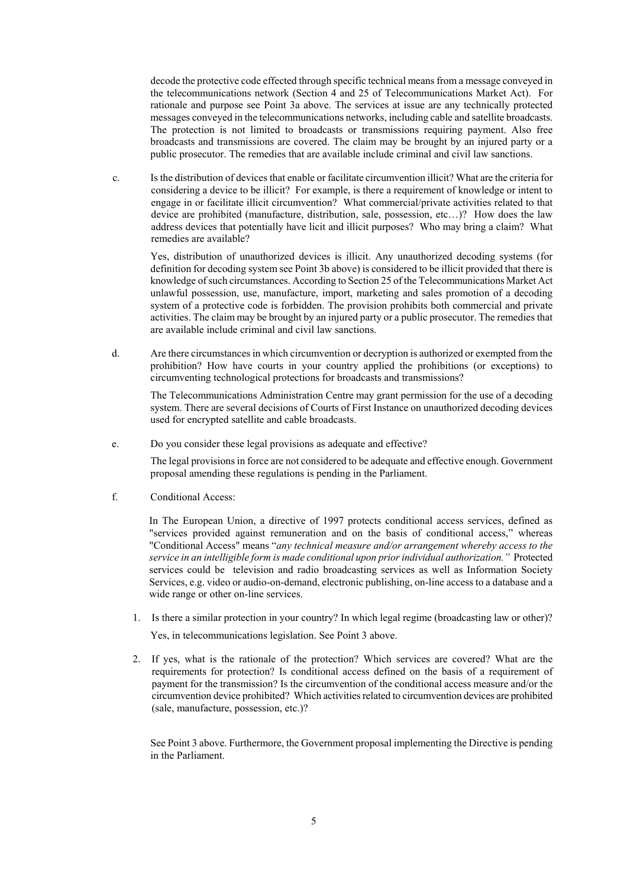decode the protective code effected through specific technical means from a message conveyed in the telecommunications network (Section 4 and 25 of Telecommunications Market Act). For rationale and purpose see Point 3a above. The services at issue are any technically protected messages conveyed in the telecommunications networks, including cable and satellite broadcasts. The protection is not limited to broadcasts or transmissions requiring payment. Also free broadcasts and transmissions are covered. The claim may be brought by an injured party or a public prosecutor. The remedies that are available include criminal and civil law sanctions.

c. Is the distribution of devices that enable or facilitate circumvention illicit? What are the criteria for considering a device to be illicit? For example, is there a requirement of knowledge or intent to engage in or facilitate illicit circumvention? What commercial/private activities related to that device are prohibited (manufacture, distribution, sale, possession, etc…)? How does the law address devices that potentially have licit and illicit purposes? Who may bring a claim? What remedies are available?

Yes, distribution of unauthorized devices is illicit. Any unauthorized decoding systems (for definition for decoding system see Point 3b above) is considered to be illicit provided that there is knowledge of such circumstances. According to Section 25 of the Telecommunications Market Act unlawful possession, use, manufacture, import, marketing and sales promotion of a decoding system of a protective code is forbidden. The provision prohibits both commercial and private activities. The claim may be brought by an injured party or a public prosecutor. The remedies that are available include criminal and civil law sanctions.

d. Are there circumstances in which circumvention or decryption is authorized or exempted from the prohibition? How have courts in your country applied the prohibitions (or exceptions) to circumventing technological protections for broadcasts and transmissions?

The Telecommunications Administration Centre may grant permission for the use of a decoding system. There are several decisions of Courts of First Instance on unauthorized decoding devices used for encrypted satellite and cable broadcasts.

e. Do you consider these legal provisions as adequate and effective?

The legal provisions in force are not considered to be adequate and effective enough. Government proposal amending these regulations is pending in the Parliament.

f. Conditional Access:

In The European Union, a directive of 1997 protects conditional access services, defined as "services provided against remuneration and on the basis of conditional access," whereas "Conditional Access" means "*any technical measure and/or arrangement whereby access to the service in an intelligible form is made conditional upon prior individual authorization."* Protected services could be television and radio broadcasting services as well as Information Society Services, e.g. video or audio-on-demand, electronic publishing, on-line access to a database and a wide range or other on-line services.

- 1. Is there a similar protection in your country? In which legal regime (broadcasting law or other)? Yes, in telecommunications legislation. See Point 3 above.
- 2. If yes, what is the rationale of the protection? Which services are covered? What are the requirements for protection? Is conditional access defined on the basis of a requirement of payment for the transmission? Is the circumvention of the conditional access measure and/or the circumvention device prohibited? Which activities related to circumvention devices are prohibited (sale, manufacture, possession, etc.)?

See Point 3 above. Furthermore, the Government proposal implementing the Directive is pending in the Parliament.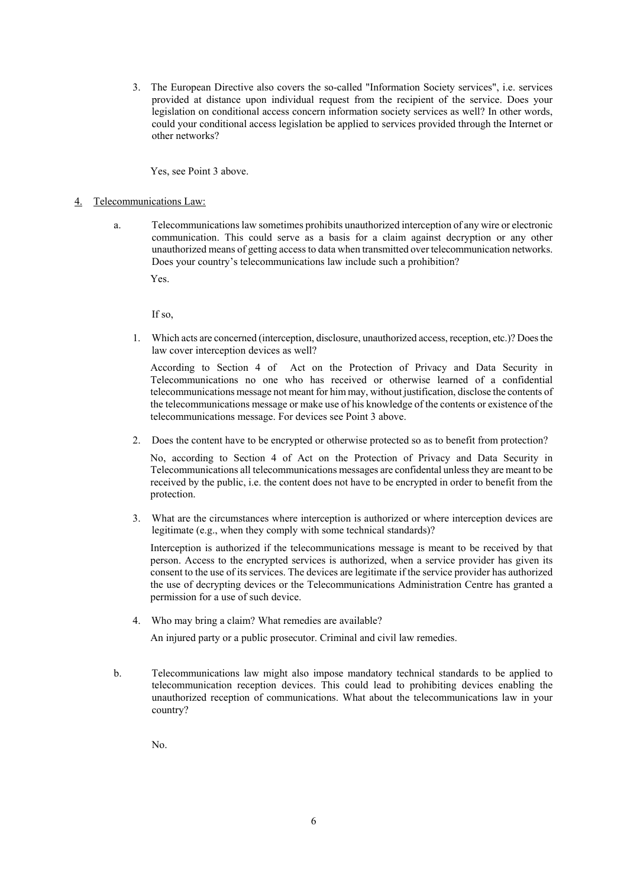3. The European Directive also covers the so-called "Information Society services", i.e. services provided at distance upon individual request from the recipient of the service. Does your legislation on conditional access concern information society services as well? In other words, could your conditional access legislation be applied to services provided through the Internet or other networks?

Yes, see Point 3 above.

### 4. Telecommunications Law:

a. Telecommunications law sometimes prohibits unauthorized interception of any wire or electronic communication. This could serve as a basis for a claim against decryption or any other unauthorized means of getting access to data when transmitted over telecommunication networks. Does your country's telecommunications law include such a prohibition?

Yes.

If so,

1. Which acts are concerned (interception, disclosure, unauthorized access, reception, etc.)? Doesthe law cover interception devices as well?

According to Section 4 of Act on the Protection of Privacy and Data Security in Telecommunications no one who has received or otherwise learned of a confidential telecommunications message not meant for him may, without justification, disclose the contents of the telecommunications message or make use of his knowledge of the contents or existence of the telecommunications message. For devices see Point 3 above.

2. Does the content have to be encrypted or otherwise protected so as to benefit from protection?

No, according to Section 4 of Act on the Protection of Privacy and Data Security in Telecommunications all telecommunications messages are confidental unless they are meant to be received by the public, i.e. the content does not have to be encrypted in order to benefit from the protection.

3. What are the circumstances where interception is authorized or where interception devices are legitimate (e.g., when they comply with some technical standards)?

Interception is authorized if the telecommunications message is meant to be received by that person. Access to the encrypted services is authorized, when a service provider has given its consent to the use of its services. The devices are legitimate if the service provider has authorized the use of decrypting devices or the Telecommunications Administration Centre has granted a permission for a use of such device.

4. Who may bring a claim? What remedies are available?

An injured party or a public prosecutor. Criminal and civil law remedies.

b. Telecommunications law might also impose mandatory technical standards to be applied to telecommunication reception devices. This could lead to prohibiting devices enabling the unauthorized reception of communications. What about the telecommunications law in your country?

No.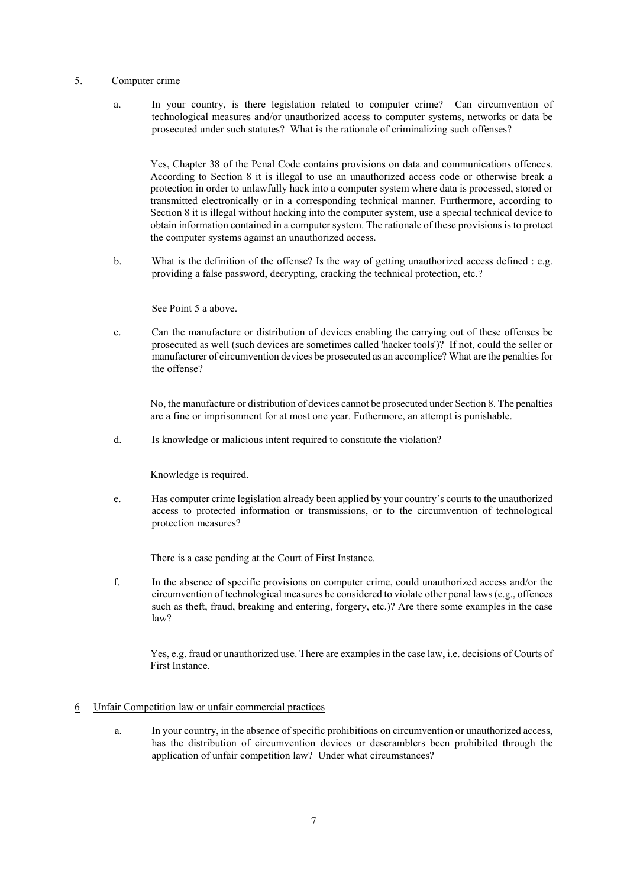# 5. Computer crime

a. In your country, is there legislation related to computer crime? Can circumvention of technological measures and/or unauthorized access to computer systems, networks or data be prosecuted under such statutes? What is the rationale of criminalizing such offenses?

Yes, Chapter 38 of the Penal Code contains provisions on data and communications offences. According to Section 8 it is illegal to use an unauthorized access code or otherwise break a protection in order to unlawfully hack into a computer system where data is processed, stored or transmitted electronically or in a corresponding technical manner. Furthermore, according to Section 8 it is illegal without hacking into the computer system, use a special technical device to obtain information contained in a computer system. The rationale of these provisions is to protect the computer systems against an unauthorized access.

b. What is the definition of the offense? Is the way of getting unauthorized access defined : e.g. providing a false password, decrypting, cracking the technical protection, etc.?

See Point 5 a above.

c. Can the manufacture or distribution of devices enabling the carrying out of these offenses be prosecuted as well (such devices are sometimes called 'hacker tools')? If not, could the seller or manufacturer of circumvention devices be prosecuted as an accomplice? What are the penalties for the offense?

No, the manufacture or distribution of devices cannot be prosecuted under Section 8. The penalties are a fine or imprisonment for at most one year. Futhermore, an attempt is punishable.

d. Is knowledge or malicious intent required to constitute the violation?

Knowledge is required.

e. Has computer crime legislation already been applied by your country's courts to the unauthorized access to protected information or transmissions, or to the circumvention of technological protection measures?

There is a case pending at the Court of First Instance.

f. In the absence of specific provisions on computer crime, could unauthorized access and/or the circumvention of technological measures be considered to violate other penal laws (e.g., offences such as theft, fraud, breaking and entering, forgery, etc.)? Are there some examples in the case law?

Yes, e.g. fraud or unauthorized use. There are examples in the case law, i.e. decisions of Courts of First Instance.

# 6 Unfair Competition law or unfair commercial practices

a. In your country, in the absence of specific prohibitions on circumvention or unauthorized access, has the distribution of circumvention devices or descramblers been prohibited through the application of unfair competition law? Under what circumstances?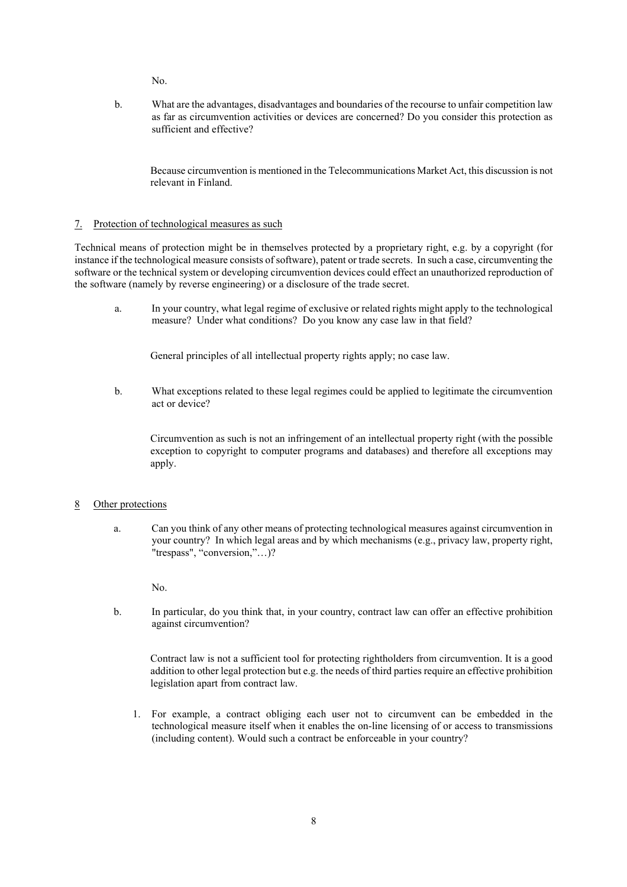$N_{\Omega}$ 

b. What are the advantages, disadvantages and boundaries of the recourse to unfair competition law as far as circumvention activities or devices are concerned? Do you consider this protection as sufficient and effective?

Because circumvention is mentioned in the Telecommunications Market Act, this discussion is not relevant in Finland.

# 7. Protection of technological measures as such

Technical means of protection might be in themselves protected by a proprietary right, e.g. by a copyright (for instance if the technological measure consists of software), patent or trade secrets. In such a case, circumventing the software or the technical system or developing circumvention devices could effect an unauthorized reproduction of the software (namely by reverse engineering) or a disclosure of the trade secret.

a. In your country, what legal regime of exclusive or related rights might apply to the technological measure? Under what conditions? Do you know any case law in that field?

General principles of all intellectual property rights apply; no case law.

b. What exceptions related to these legal regimes could be applied to legitimate the circumvention act or device?

Circumvention as such is not an infringement of an intellectual property right (with the possible exception to copyright to computer programs and databases) and therefore all exceptions may apply.

#### 8 Other protections

a. Can you think of any other means of protecting technological measures against circumvention in your country? In which legal areas and by which mechanisms (e.g., privacy law, property right, "trespass", "conversion,"…)?

No.

b. In particular, do you think that, in your country, contract law can offer an effective prohibition against circumvention?

Contract law is not a sufficient tool for protecting rightholders from circumvention. It is a good addition to other legal protection but e.g. the needs of third parties require an effective prohibition legislation apart from contract law.

1. For example, a contract obliging each user not to circumvent can be embedded in the technological measure itself when it enables the on-line licensing of or access to transmissions (including content). Would such a contract be enforceable in your country?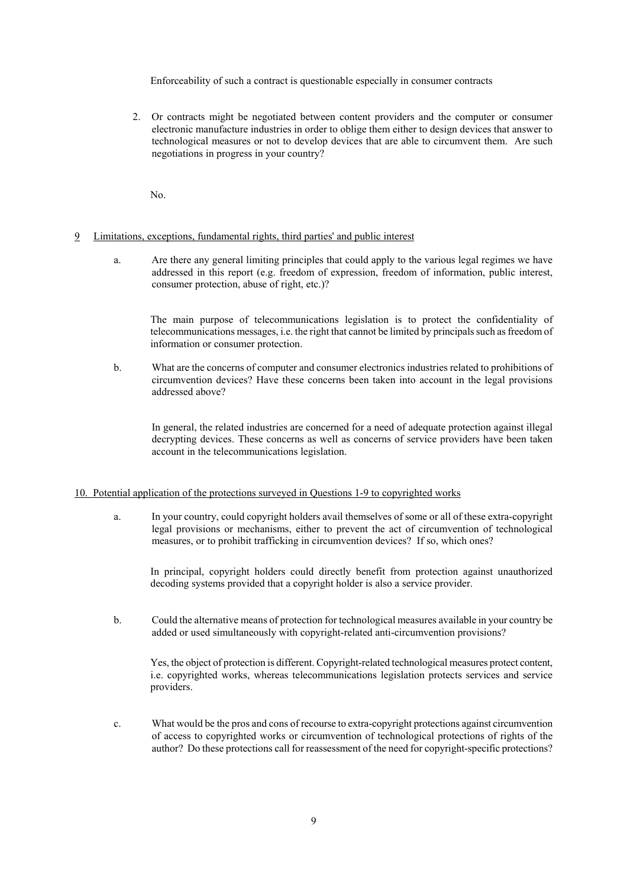Enforceability of such a contract is questionable especially in consumer contracts

2. Or contracts might be negotiated between content providers and the computer or consumer electronic manufacture industries in order to oblige them either to design devices that answer to technological measures or not to develop devices that are able to circumvent them. Are such negotiations in progress in your country?

No.

### 9 Limitations, exceptions, fundamental rights, third parties' and public interest

a. Are there any general limiting principles that could apply to the various legal regimes we have addressed in this report (e.g. freedom of expression, freedom of information, public interest, consumer protection, abuse of right, etc.)?

The main purpose of telecommunications legislation is to protect the confidentiality of telecommunications messages, i.e. the right that cannot be limited by principals such as freedom of information or consumer protection.

b. What are the concerns of computer and consumer electronics industries related to prohibitions of circumvention devices? Have these concerns been taken into account in the legal provisions addressed above?

In general, the related industries are concerned for a need of adequate protection against illegal decrypting devices. These concerns as well as concerns of service providers have been taken account in the telecommunications legislation.

### 10. Potential application of the protections surveyed in Questions 1-9 to copyrighted works

a. In your country, could copyright holders avail themselves of some or all of these extra-copyright legal provisions or mechanisms, either to prevent the act of circumvention of technological measures, or to prohibit trafficking in circumvention devices? If so, which ones?

In principal, copyright holders could directly benefit from protection against unauthorized decoding systems provided that a copyright holder is also a service provider.

b. Could the alternative means of protection for technological measures available in your country be added or used simultaneously with copyright-related anti-circumvention provisions?

Yes, the object of protection is different. Copyright-related technological measures protect content, i.e. copyrighted works, whereas telecommunications legislation protects services and service providers.

c. What would be the pros and cons of recourse to extra-copyright protections against circumvention of access to copyrighted works or circumvention of technological protections of rights of the author? Do these protections call for reassessment of the need for copyright-specific protections?